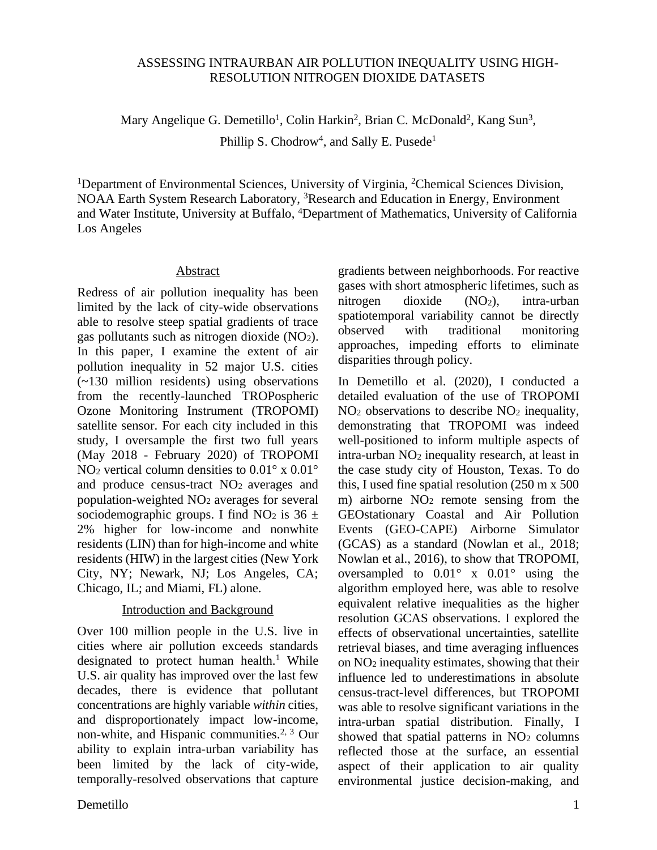### ASSESSING INTRAURBAN AIR POLLUTION INEQUALITY USING HIGH-RESOLUTION NITROGEN DIOXIDE DATASETS

Mary Angelique G. Demetillo<sup>1</sup>, Colin Harkin<sup>2</sup>, Brian C. McDonald<sup>2</sup>, Kang Sun<sup>3</sup>, Phillip S. Chodrow<sup>4</sup>, and Sally E. Pusede<sup>1</sup>

<sup>1</sup>Department of Environmental Sciences, University of Virginia, <sup>2</sup>Chemical Sciences Division, NOAA Earth System Research Laboratory, <sup>3</sup>Research and Education in Energy, Environment and Water Institute, University at Buffalo, <sup>4</sup>Department of Mathematics, University of California Los Angeles

#### Abstract

Redress of air pollution inequality has been limited by the lack of city-wide observations able to resolve steep spatial gradients of trace gas pollutants such as nitrogen dioxide (NO2). In this paper, I examine the extent of air pollution inequality in 52 major U.S. cities (~130 million residents) using observations from the recently-launched TROPospheric Ozone Monitoring Instrument (TROPOMI) satellite sensor. For each city included in this study, I oversample the first two full years (May 2018 - February 2020) of TROPOMI NO<sub>2</sub> vertical column densities to  $0.01^\circ$  x  $0.01^\circ$ and produce census-tract NO2 averages and population-weighted NO<sup>2</sup> averages for several sociodemographic groups. I find NO<sub>2</sub> is  $36 \pm$ 2% higher for low-income and nonwhite residents (LIN) than for high-income and white residents (HIW) in the largest cities (New York City, NY; Newark, NJ; Los Angeles, CA; Chicago, IL; and Miami, FL) alone.

### Introduction and Background

Over 100 million people in the U.S. live in cities where air pollution exceeds standards designated to protect human health.<sup>1</sup> While U.S. air quality has improved over the last few decades, there is evidence that pollutant concentrations are highly variable *within* cities, and disproportionately impact low-income, non-white, and Hispanic communities.2, 3 Our ability to explain intra-urban variability has been limited by the lack of city-wide, temporally-resolved observations that capture gradients between neighborhoods. For reactive gases with short atmospheric lifetimes, such as nitrogen dioxide (NO2), intra-urban spatiotemporal variability cannot be directly observed with traditional monitoring approaches, impeding efforts to eliminate disparities through policy.

In Demetillo et al. (2020), I conducted a detailed evaluation of the use of TROPOMI NO<sup>2</sup> observations to describe NO<sup>2</sup> inequality, demonstrating that TROPOMI was indeed well-positioned to inform multiple aspects of intra-urban NO<sup>2</sup> inequality research, at least in the case study city of Houston, Texas. To do this, I used fine spatial resolution (250 m x 500 m) airborne NO<sup>2</sup> remote sensing from the GEOstationary Coastal and Air Pollution Events (GEO-CAPE) Airborne Simulator (GCAS) as a standard (Nowlan et al., 2018; Nowlan et al., 2016), to show that TROPOMI, oversampled to  $0.01^{\circ}$  x  $0.01^{\circ}$  using the algorithm employed here, was able to resolve equivalent relative inequalities as the higher resolution GCAS observations. I explored the effects of observational uncertainties, satellite retrieval biases, and time averaging influences on NO<sup>2</sup> inequality estimates, showing that their influence led to underestimations in absolute census-tract-level differences, but TROPOMI was able to resolve significant variations in the intra-urban spatial distribution. Finally, I showed that spatial patterns in  $NO<sub>2</sub>$  columns reflected those at the surface, an essential aspect of their application to air quality environmental justice decision-making, and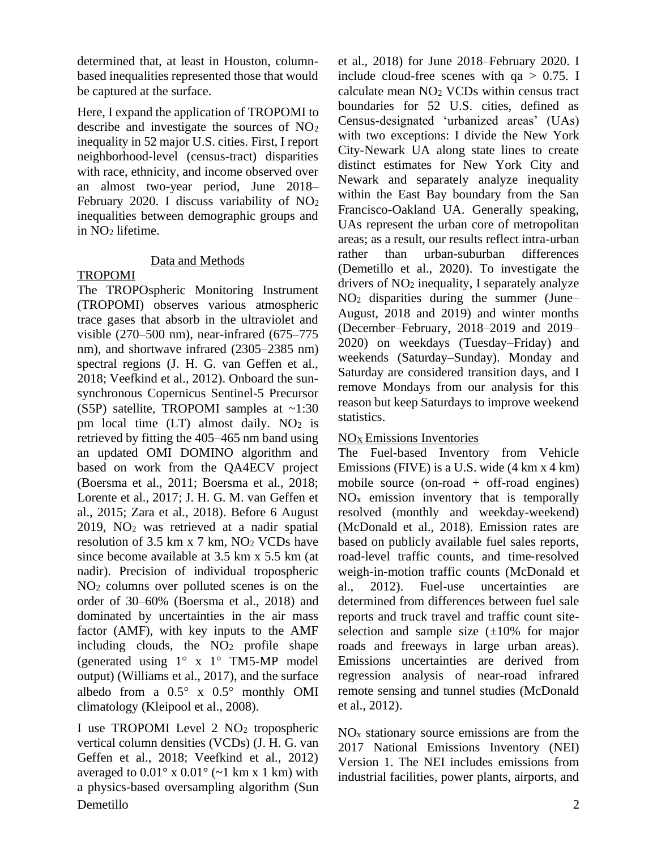determined that, at least in Houston, columnbased inequalities represented those that would be captured at the surface.

Here, I expand the application of TROPOMI to describe and investigate the sources of NO<sup>2</sup> inequality in 52 major U.S. cities. First, I report neighborhood-level (census-tract) disparities with race, ethnicity, and income observed over an almost two-year period, June 2018– February 2020. I discuss variability of NO<sup>2</sup> inequalities between demographic groups and in NO<sub>2</sub> lifetime.

# Data and Methods

# TROPOMI

The TROPOspheric Monitoring Instrument (TROPOMI) observes various atmospheric trace gases that absorb in the ultraviolet and visible (270–500 nm), near-infrared (675–775 nm), and shortwave infrared (2305–2385 nm) spectral regions (J. H. G. van Geffen et al., 2018; Veefkind et al., 2012). Onboard the sunsynchronous Copernicus Sentinel-5 Precursor (S5P) satellite, TROPOMI samples at  $\sim$ 1:30 pm local time  $(LT)$  almost daily. NO<sub>2</sub> is retrieved by fitting the 405–465 nm band using an updated OMI DOMINO algorithm and based on work from the QA4ECV project (Boersma et al., 2011; Boersma et al., 2018; Lorente et al., 2017; J. H. G. M. van Geffen et al., 2015; Zara et al., 2018). Before 6 August 2019, NO<sup>2</sup> was retrieved at a nadir spatial resolution of 3.5 km x 7 km,  $NO<sub>2</sub> VCDs$  have since become available at 3.5 km x 5.5 km (at nadir). Precision of individual tropospheric NO<sup>2</sup> columns over polluted scenes is on the order of 30–60% (Boersma et al., 2018) and dominated by uncertainties in the air mass factor (AMF), with key inputs to the AMF including clouds, the  $NO<sub>2</sub>$  profile shape (generated using  $1^\circ$  x  $1^\circ$  TM5-MP model output) (Williams et al., 2017), and the surface albedo from a  $0.5^\circ$  x  $0.5^\circ$  monthly OMI climatology (Kleipool et al., 2008).

Demetillo 2 I use TROPOMI Level 2 NO<sub>2</sub> tropospheric vertical column densities (VCDs) (J. H. G. van Geffen et al., 2018; Veefkind et al., 2012) averaged to  $0.01^\circ$  x  $0.01^\circ$  ( $\sim$ 1 km x 1 km) with a physics-based oversampling algorithm (Sun

et al., 2018) for June 2018–February 2020. I include cloud-free scenes with  $qa > 0.75$ . I calculate mean  $NO<sub>2</sub> VCDs$  within census tract boundaries for 52 U.S. cities, defined as Census-designated 'urbanized areas' (UAs) with two exceptions: I divide the New York City-Newark UA along state lines to create distinct estimates for New York City and Newark and separately analyze inequality within the East Bay boundary from the San Francisco-Oakland UA. Generally speaking, UAs represent the urban core of metropolitan areas; as a result, our results reflect intra-urban rather than urban-suburban differences (Demetillo et al., 2020). To investigate the drivers of NO<sup>2</sup> inequality, I separately analyze NO<sup>2</sup> disparities during the summer (June– August, 2018 and 2019) and winter months (December–February, 2018–2019 and 2019– 2020) on weekdays (Tuesday–Friday) and weekends (Saturday–Sunday). Monday and Saturday are considered transition days, and I remove Mondays from our analysis for this reason but keep Saturdays to improve weekend statistics.

## NOX Emissions Inventories

The Fuel-based Inventory from Vehicle Emissions (FIVE) is a U.S. wide (4 km x 4 km) mobile source (on-road  $+$  off-road engines)  $NO<sub>x</sub>$  emission inventory that is temporally resolved (monthly and weekday-weekend) (McDonald et al., 2018). Emission rates are based on publicly available fuel sales reports, road‐level traffic counts, and time‐resolved weigh-in-motion traffic counts (McDonald et al., 2012). Fuel-use uncertainties are determined from differences between fuel sale reports and truck travel and traffic count siteselection and sample size  $(\pm 10\%$  for major roads and freeways in large urban areas). Emissions uncertainties are derived from regression analysis of near-road infrared remote sensing and tunnel studies (McDonald et al., 2012).

 $NO<sub>x</sub>$  stationary source emissions are from the 2017 National Emissions Inventory (NEI) Version 1. The NEI includes emissions from industrial facilities, power plants, airports, and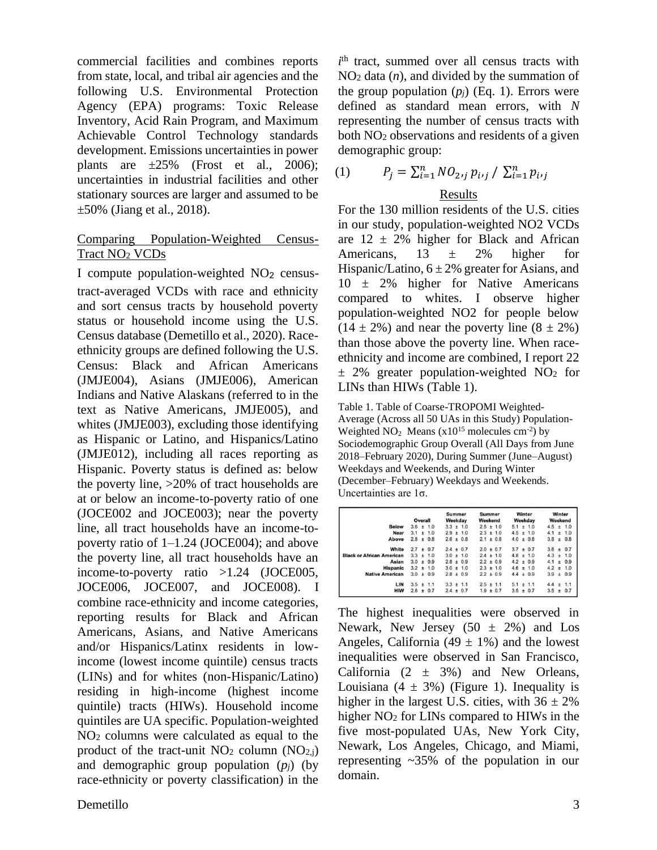commercial facilities and combines reports from state, local, and tribal air agencies and the following U.S. Environmental Protection Agency (EPA) programs: Toxic Release Inventory, Acid Rain Program, and Maximum Achievable Control Technology standards development. Emissions uncertainties in power plants are  $\pm 25\%$  (Frost et al., 2006); uncertainties in industrial facilities and other stationary sources are larger and assumed to be  $\pm 50\%$  (Jiang et al., 2018).

## Comparing Population-Weighted Census-Tract NO<sup>2</sup> VCDs

I compute population-weighted  $NO<sub>2</sub>$  censustract-averaged VCDs with race and ethnicity and sort census tracts by household poverty status or household income using the U.S. Census database (Demetillo et al., 2020). Raceethnicity groups are defined following the U.S. Census: Black and African Americans (JMJE004), Asians (JMJE006), American Indians and Native Alaskans (referred to in the text as Native Americans, JMJE005), and whites (JMJE003), excluding those identifying as Hispanic or Latino, and Hispanics/Latino (JMJE012), including all races reporting as Hispanic. Poverty status is defined as: below the poverty line, >20% of tract households are at or below an income-to-poverty ratio of one (JOCE002 and JOCE003); near the poverty line, all tract households have an income-topoverty ratio of 1–1.24 (JOCE004); and above the poverty line, all tract households have an income-to-poverty ratio >1.24 (JOCE005, JOCE006, JOCE007, and JOCE008). I combine race-ethnicity and income categories, reporting results for Black and African Americans, Asians, and Native Americans and/or Hispanics/Latinx residents in lowincome (lowest income quintile) census tracts (LINs) and for whites (non-Hispanic/Latino) residing in high-income (highest income quintile) tracts (HIWs). Household income quintiles are UA specific. Population-weighted NO<sup>2</sup> columns were calculated as equal to the product of the tract-unit  $NO<sub>2</sub>$  column  $(NO<sub>2,i</sub>)$ and demographic group population  $(p_j)$  (by race-ethnicity or poverty classification) in the

*i* th tract, summed over all census tracts with NO<sup>2</sup> data (*n*), and divided by the summation of the group population  $(p_i)$  (Eq. 1). Errors were defined as standard mean errors, with *N* representing the number of census tracts with both NO<sup>2</sup> observations and residents of a given demographic group:

(1) 
$$
P_j = \sum_{i=1}^n NO_{2ij} p_{i\prime j} / \sum_{i=1}^n p_{i\prime j}
$$

## Results

For the 130 million residents of the U.S. cities in our study, population-weighted NO2 VCDs are  $12 \pm 2\%$  higher for Black and African Americans,  $13 \pm 2\%$  higher for Hispanic/Latino,  $6 \pm 2\%$  greater for Asians, and 10 ± 2% higher for Native Americans compared to whites. I observe higher population-weighted NO2 for people below  $(14 \pm 2\%)$  and near the poverty line  $(8 \pm 2\%)$ than those above the poverty line. When raceethnicity and income are combined, I report 22  $\pm$  2% greater population-weighted NO<sub>2</sub> for LINs than HIWs (Table 1).

Table 1. Table of Coarse-TROPOMI Weighted-Average (Across all 50 UAs in this Study) Population-Weighted  $NO<sub>2</sub>$  Means ( $x10^{15}$  molecules cm<sup>-2</sup>) by Sociodemographic Group Overall (All Days from June 2018–February 2020), During Summer (June–August) Weekdays and Weekends, and During Winter (December–February) Weekdays and Weekends. Uncertainties are 1σ.

| <b>Below</b>                     | Overall       |   |               | Summer<br>Weekday |               |               | Summer<br>Weekend |  |               | Winter<br>Weekday |  |               | Winter<br>Weekend |       |               |
|----------------------------------|---------------|---|---------------|-------------------|---------------|---------------|-------------------|--|---------------|-------------------|--|---------------|-------------------|-------|---------------|
|                                  |               |   | $3.6 \pm 1.0$ |                   | $3.3 \pm 1.0$ |               |                   |  | $2.5 \pm 1.0$ |                   |  | $5.1 \pm 1.0$ |                   |       | $4.5 \pm 1.0$ |
| <b>Near</b>                      |               |   | $3.1 \pm 1.0$ |                   |               | $2.9 \pm 1.0$ |                   |  | $2.3 \pm 1.0$ |                   |  | $4.5 \pm 1.0$ | 4.1               |       | ± 1.0         |
| Above                            | $2.8 \pm$     |   | 0.8           |                   |               | $2.6 \pm 0.8$ | $2.1 \pm 0.8$     |  |               | $4.0 \pm 0.8$     |  |               | 3.8               | ±     | 0.8           |
| White                            | $2.7 \pm 0.7$ |   |               |                   |               | $2.4 \pm 0.7$ | $2.0 \pm 0.7$     |  |               |                   |  | $3.7 \pm 0.7$ | 3.6               | ±.    | 0.7           |
| <b>Black or African American</b> | $3.3 \pm$     |   | 1.0           |                   |               | $3.0 \pm 1.0$ |                   |  | $2.4 \pm 1.0$ |                   |  | $4.8 \pm 1.0$ | 4.3               | $\pm$ | 1.0           |
| Asian                            |               |   | $3.0 \pm 0.9$ |                   |               | $2.8 \pm 0.9$ |                   |  | $2.2 \pm 0.9$ | $4.2 \pm 0.9$     |  |               | 4.1               | $\pm$ | 0.9           |
| <b>Hispanic</b>                  |               |   | $3.2 \pm 1.0$ |                   |               | $3.0 \pm 1.0$ |                   |  | $2.3 \pm 1.0$ |                   |  | $4.6 \pm 1.0$ | 4.2               |       | ± 1.0         |
| <b>Native American</b>           | $3.0 +$       |   | 0.9           |                   |               | $2.8 \pm 0.9$ |                   |  | $2.2 \pm 0.9$ |                   |  | $4.4 \pm 0.9$ | $3.9 \pm$         |       | 0.9           |
| LIN                              | $3.5 \pm 1.1$ |   |               |                   |               | $3.3 \pm 1.1$ | $2.5 \pm 1.1$     |  |               | $5.1 \pm 1.1$     |  |               | 4.4               | $\pm$ | 1.1           |
| <b>HIW</b>                       | 2.6           | ± | 0.7           |                   |               | $2.4 \pm 0.7$ |                   |  | $1.9 \pm 0.7$ | $3.5 \pm 0.7$     |  |               | 3.5               | $\pm$ | 0.7           |

The highest inequalities were observed in Newark, New Jersey  $(50 \pm 2\%)$  and Los Angeles, California (49  $\pm$  1%) and the lowest inequalities were observed in San Francisco, California  $(2 \pm 3\%)$  and New Orleans, Louisiana (4  $\pm$  3%) (Figure 1). Inequality is higher in the largest U.S. cities, with  $36 \pm 2\%$ higher NO<sub>2</sub> for LINs compared to HIWs in the five most-populated UAs, New York City, Newark, Los Angeles, Chicago, and Miami, representing ~35% of the population in our domain.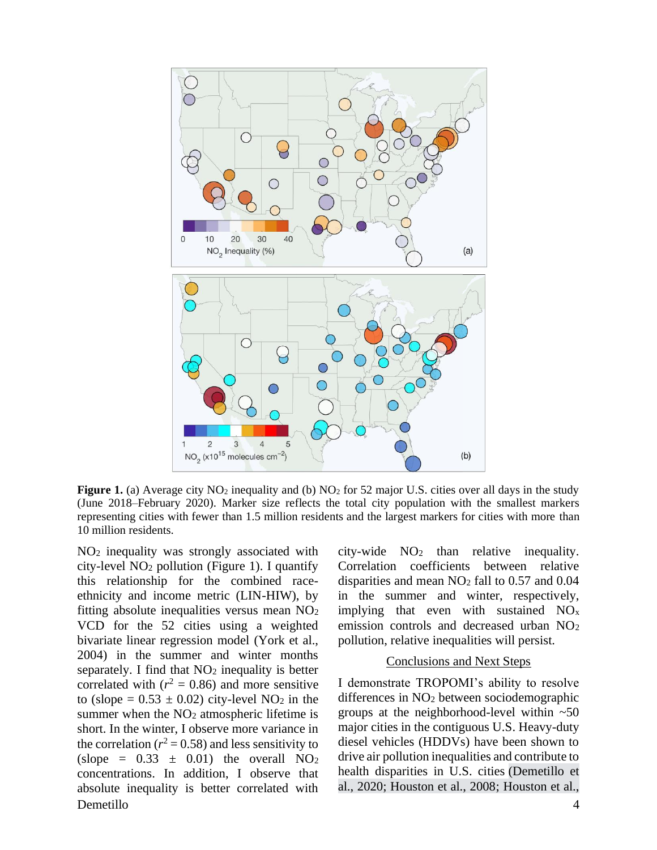

**Figure 1.** (a) Average city  $NO_2$  inequality and (b)  $NO_2$  for 52 major U.S. cities over all days in the study (June 2018–February 2020). Marker size reflects the total city population with the smallest markers representing cities with fewer than 1.5 million residents and the largest markers for cities with more than 10 million residents.

Demetillo 4 NO<sup>2</sup> inequality was strongly associated with city-level NO<sup>2</sup> pollution (Figure 1). I quantify this relationship for the combined raceethnicity and income metric (LIN-HIW), by fitting absolute inequalities versus mean NO<sup>2</sup> VCD for the 52 cities using a weighted bivariate linear regression model (York et al., 2004) in the summer and winter months separately. I find that  $NO<sub>2</sub>$  inequality is better correlated with  $(r^2 = 0.86)$  and more sensitive to (slope =  $0.53 \pm 0.02$ ) city-level NO<sub>2</sub> in the summer when the  $NO<sub>2</sub>$  atmospheric lifetime is short. In the winter, I observe more variance in the correlation ( $r^2$  = 0.58) and less sensitivity to (slope =  $0.33 \pm 0.01$ ) the overall NO<sub>2</sub> concentrations. In addition, I observe that absolute inequality is better correlated with

city-wide  $NO<sub>2</sub>$  than relative inequality. Correlation coefficients between relative disparities and mean NO<sup>2</sup> fall to 0.57 and 0.04 in the summer and winter, respectively, implying that even with sustained  $NO<sub>x</sub>$ emission controls and decreased urban  $NO<sub>2</sub>$ pollution, relative inequalities will persist.

#### Conclusions and Next Steps

I demonstrate TROPOMI's ability to resolve differences in NO<sup>2</sup> between sociodemographic groups at the neighborhood-level within  $~50$ major cities in the contiguous U.S. Heavy-duty diesel vehicles (HDDVs) have been shown to drive air pollution inequalities and contribute to health disparities in U.S. cities (Demetillo et al., 2020; Houston et al., 2008; Houston et al.,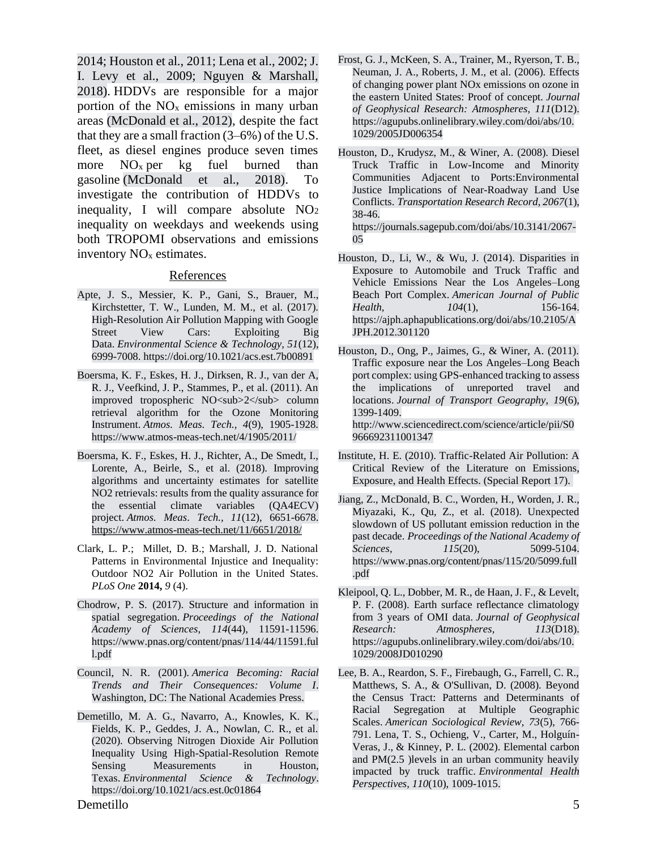2014; Houston et al., 2011; Lena et al., 2002; J. I. Levy et al., 2009; Nguyen & Marshall, 2018). HDDVs are responsible for a major portion of the  $NO<sub>x</sub>$  emissions in many urban areas (McDonald et al., 2012), despite the fact that they are a small fraction (3–6%) of the U.S. fleet, as diesel engines produce seven times more  $NO<sub>x</sub>$  per kg fuel burned than gasoline (McDonald et al., 2018). To investigate the contribution of HDDVs to inequality, I will compare absolute  $NO<sub>2</sub>$ inequality on weekdays and weekends using both TROPOMI observations and emissions inventory NO<sup>x</sup> estimates.

#### **References**

- Apte, J. S., Messier, K. P., Gani, S., Brauer, M., Kirchstetter, T. W., Lunden, M. M., et al. (2017). High-Resolution Air Pollution Mapping with Google Street View Cars: Exploiting Big Data. *Environmental Science & Technology, 51*(12), 6999-7008. https://doi.org/10.1021/acs.est.7b00891
- Boersma, K. F., Eskes, H. J., Dirksen, R. J., van der A, R. J., Veefkind, J. P., Stammes, P., et al. (2011). An improved tropospheric NO<sub>2</sub> column retrieval algorithm for the Ozone Monitoring Instrument. *Atmos. Meas. Tech., 4*(9), 1905-1928. https://www.atmos-meas-tech.net/4/1905/2011/
- Boersma, K. F., Eskes, H. J., Richter, A., De Smedt, I., Lorente, A., Beirle, S., et al. (2018). Improving algorithms and uncertainty estimates for satellite NO2 retrievals: results from the quality assurance for the essential climate variables (QA4ECV) project. *Atmos. Meas. Tech., 11*(12), 6651-6678. <https://www.atmos-meas-tech.net/11/6651/2018/>
- Clark, L. P.; Millet, D. B.; Marshall, J. D. National Patterns in Environmental Injustice and Inequality: Outdoor NO2 Air Pollution in the United States. *PLoS One* **2014,** *9* (4).
- Chodrow, P. S. (2017). Structure and information in spatial segregation. *Proceedings of the National Academy of Sciences, 114*(44), 11591-11596. https://www.pnas.org/content/pnas/114/44/11591.ful l.pdf
- Council, N. R. (2001). *America Becoming: Racial Trends and Their Consequences: Volume I*. Washington, DC: The National Academies Press.
- Demetillo, M. A. G., Navarro, A., Knowles, K. K., Fields, K. P., Geddes, J. A., Nowlan, C. R., et al. (2020). Observing Nitrogen Dioxide Air Pollution Inequality Using High-Spatial-Resolution Remote Sensing Measurements in Houston, Texas. *Environmental Science & Technology*. https://doi.org/10.1021/acs.est.0c01864
- Frost, G. J., McKeen, S. A., Trainer, M., Ryerson, T. B., Neuman, J. A., Roberts, J. M., et al. (2006). Effects of changing power plant NOx emissions on ozone in the eastern United States: Proof of concept. *Journal of Geophysical Research: Atmospheres, 111*(D12). https://agupubs.onlinelibrary.wiley.com/doi/abs/10. 1029/2005JD006354
- Houston, D., Krudysz, M., & Winer, A. (2008). Diesel Truck Traffic in Low-Income and Minority Communities Adjacent to Ports:Environmental Justice Implications of Near-Roadway Land Use Conflicts. *Transportation Research Record, 2067*(1), 38-46. https://journals.sagepub.com/doi/abs/10.3141/2067-

05

- Houston, D., Li, W., & Wu, J. (2014). Disparities in Exposure to Automobile and Truck Traffic and Vehicle Emissions Near the Los Angeles–Long Beach Port Complex. *American Journal of Public Health, 104*(1), 156-164. https://ajph.aphapublications.org/doi/abs/10.2105/A JPH.2012.301120
- Houston, D., Ong, P., Jaimes, G., & Winer, A. (2011). Traffic exposure near the Los Angeles–Long Beach port complex: using GPS-enhanced tracking to assess the implications of unreported travel and locations. *Journal of Transport Geography, 19*(6), 1399-1409. http://www.sciencedirect.com/science/article/pii/S0 966692311001347
- Institute, H. E. (2010). Traffic-Related Air Pollution: A Critical Review of the Literature on Emissions, Exposure, and Health Effects. (Special Report 17).
- Jiang, Z., McDonald, B. C., Worden, H., Worden, J. R., Miyazaki, K., Qu, Z., et al. (2018). Unexpected slowdown of US pollutant emission reduction in the past decade. *Proceedings of the National Academy of Sciences, 115*(20), 5099-5104. https://www.pnas.org/content/pnas/115/20/5099.full .pdf
- Kleipool, Q. L., Dobber, M. R., de Haan, J. F., & Levelt, P. F. (2008). Earth surface reflectance climatology from 3 years of OMI data. *Journal of Geophysical Research: Atmospheres, 113*(D18). https://agupubs.onlinelibrary.wiley.com/doi/abs/10. 1029/2008JD010290
- Lee, B. A., Reardon, S. F., Firebaugh, G., Farrell, C. R., Matthews, S. A., & O'Sullivan, D. (2008). Beyond the Census Tract: Patterns and Determinants of Racial Segregation at Multiple Geographic Scales. *American Sociological Review, 73*(5), 766- 791. Lena, T. S., Ochieng, V., Carter, M., Holguín-Veras, J., & Kinney, P. L. (2002). Elemental carbon and PM(2.5 )levels in an urban community heavily impacted by truck traffic. *Environmental Health Perspectives, 110*(10), 1009-1015.

Demetillo 5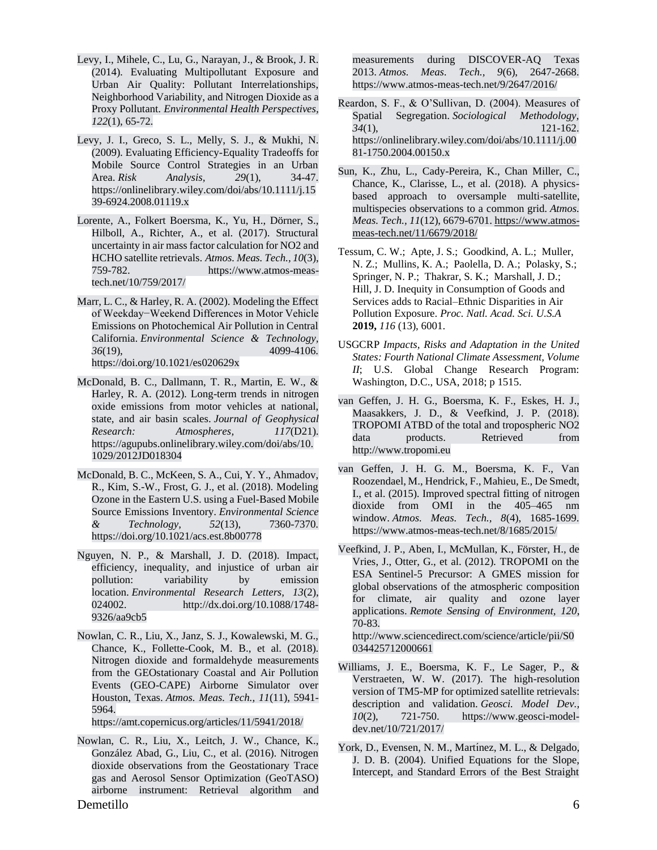- Levy, I., Mihele, C., Lu, G., Narayan, J., & Brook, J. R. (2014). Evaluating Multipollutant Exposure and Urban Air Quality: Pollutant Interrelationships, Neighborhood Variability, and Nitrogen Dioxide as a Proxy Pollutant. *Environmental Health Perspectives, 122*(1), 65-72.
- Levy, J. I., Greco, S. L., Melly, S. J., & Mukhi, N. (2009). Evaluating Efficiency-Equality Tradeoffs for Mobile Source Control Strategies in an Urban Area. *Risk Analysis, 29*(1), 34-47. https://onlinelibrary.wiley.com/doi/abs/10.1111/j.15 39-6924.2008.01119.x
- Lorente, A., Folkert Boersma, K., Yu, H., Dörner, S., Hilboll, A., Richter, A., et al. (2017). Structural uncertainty in air mass factor calculation for NO2 and HCHO satellite retrievals. *Atmos. Meas. Tech., 10*(3), 759-782. https://www.atmos-meastech.net/10/759/2017/
- Marr, L. C., & Harley, R. A. (2002). Modeling the Effect of Weekday−Weekend Differences in Motor Vehicle Emissions on Photochemical Air Pollution in Central California. *Environmental Science & Technology, 36*(19), 4099-4106. https://doi.org/10.1021/es020629x
- McDonald, B. C., Dallmann, T. R., Martin, E. W., & Harley, R. A. (2012). Long-term trends in nitrogen oxide emissions from motor vehicles at national, state, and air basin scales. *Journal of Geophysical Research: Atmospheres, 117*(D21). https://agupubs.onlinelibrary.wiley.com/doi/abs/10. 1029/2012JD018304
- McDonald, B. C., McKeen, S. A., Cui, Y. Y., Ahmadov, R., Kim, S.-W., Frost, G. J., et al. (2018). Modeling Ozone in the Eastern U.S. using a Fuel-Based Mobile Source Emissions Inventory. *Environmental Science & Technology, 52*(13), 7360-7370. https://doi.org/10.1021/acs.est.8b00778
- Nguyen, N. P., & Marshall, J. D. (2018). Impact, efficiency, inequality, and injustice of urban air pollution: variability by emission location. *Environmental Research Letters, 13*(2), 024002. http://dx.doi.org/10.1088/1748-9326/aa9cb5
- Nowlan, C. R., Liu, X., Janz, S. J., Kowalewski, M. G., Chance, K., Follette-Cook, M. B., et al. (2018). Nitrogen dioxide and formaldehyde measurements from the GEOstationary Coastal and Air Pollution Events (GEO-CAPE) Airborne Simulator over Houston, Texas. *Atmos. Meas. Tech., 11*(11), 5941- 5964.

https://amt.copernicus.org/articles/11/5941/2018/

Demetillo 6 Nowlan, C. R., Liu, X., Leitch, J. W., Chance, K., González Abad, G., Liu, C., et al. (2016). Nitrogen dioxide observations from the Geostationary Trace gas and Aerosol Sensor Optimization (GeoTASO) airborne instrument: Retrieval algorithm and

measurements during DISCOVER-AQ Texas 2013. *Atmos. Meas. Tech., 9*(6), 2647-2668. https://www.atmos-meas-tech.net/9/2647/2016/

- Reardon, S. F., & O'Sullivan, D. (2004). Measures of Spatial Segregation. *Sociological Methodology, 34*(1), 121-162. https://onlinelibrary.wiley.com/doi/abs/10.1111/j.00 81-1750.2004.00150.x
- Sun, K., Zhu, L., Cady-Pereira, K., Chan Miller, C., Chance, K., Clarisse, L., et al. (2018). A physicsbased approach to oversample multi-satellite, multispecies observations to a common grid. *Atmos. Meas. Tech., 11*(12), 6679-6701. [https://www.atmos](https://www.atmos-meas-tech.net/11/6679/2018/)[meas-tech.net/11/6679/2018/](https://www.atmos-meas-tech.net/11/6679/2018/)
- Tessum, C. W.; Apte, J. S.; Goodkind, A. L.; Muller, N. Z.; Mullins, K. A.; Paolella, D. A.; Polasky, S.; Springer, N. P.; Thakrar, S. K.; Marshall, J. D.; Hill, J. D. Inequity in Consumption of Goods and Services adds to Racial–Ethnic Disparities in Air Pollution Exposure. *Proc. Natl. Acad. Sci. U.S.A*  **2019,** *116* (13), 6001.
- USGCRP *Impacts, Risks and Adaptation in the United States: Fourth National Climate Assessment, Volume II*; U.S. Global Change Research Program: Washington, D.C., USA, 2018; p 1515.
- van Geffen, J. H. G., Boersma, K. F., Eskes, H. J., Maasakkers, J. D., & Veefkind, J. P. (2018). TROPOMI ATBD of the total and tropospheric NO2 data products. Retrieved from http://www.tropomi.eu
- van Geffen, J. H. G. M., Boersma, K. F., Van Roozendael, M., Hendrick, F., Mahieu, E., De Smedt, I., et al. (2015). Improved spectral fitting of nitrogen dioxide from OMI in the 405–465 nm window. *Atmos. Meas. Tech., 8*(4), 1685-1699. https://www.atmos-meas-tech.net/8/1685/2015/
- Veefkind, J. P., Aben, I., McMullan, K., Förster, H., de Vries, J., Otter, G., et al. (2012). TROPOMI on the ESA Sentinel-5 Precursor: A GMES mission for global observations of the atmospheric composition for climate, air quality and ozone layer applications. *Remote Sensing of Environment, 120*, 70-83. http://www.sciencedirect.com/science/article/pii/S0 034425712000661
- Williams, J. E., Boersma, K. F., Le Sager, P., & Verstraeten, W. W. (2017). The high-resolution version of TM5-MP for optimized satellite retrievals: description and validation. *Geosci. Model Dev., 10*(2), 721-750. https://www.geosci-modeldev.net/10/721/2017/
- York, D., Evensen, N. M., Martínez, M. L., & Delgado, J. D. B. (2004). Unified Equations for the Slope, Intercept, and Standard Errors of the Best Straight